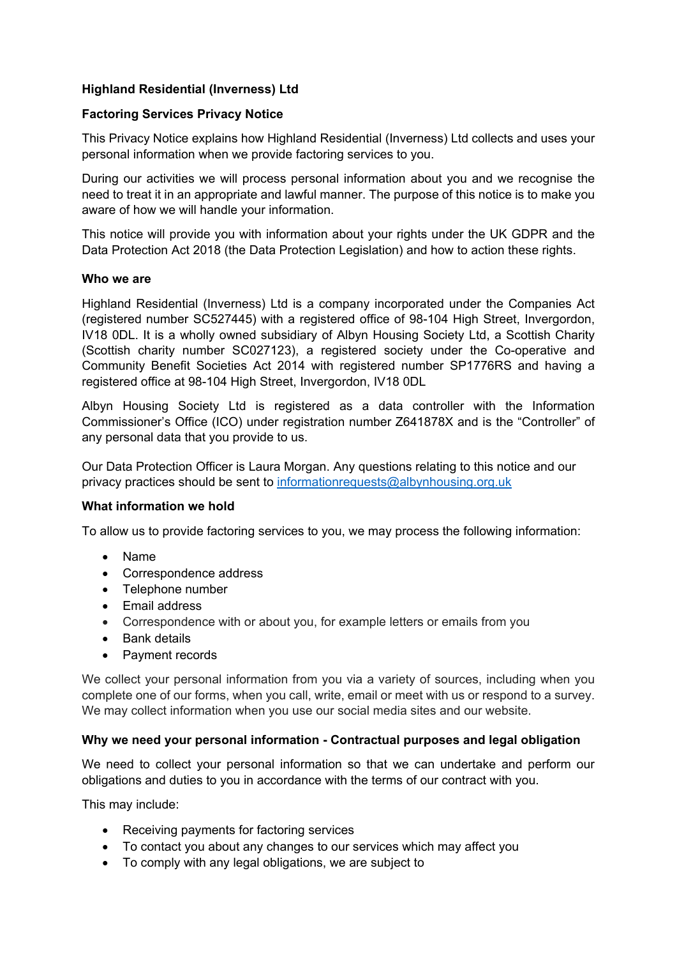# **Highland Residential (Inverness) Ltd**

## **Factoring Services Privacy Notice**

This Privacy Notice explains how Highland Residential (Inverness) Ltd collects and uses your personal information when we provide factoring services to you.

During our activities we will process personal information about you and we recognise the need to treat it in an appropriate and lawful manner. The purpose of this notice is to make you aware of how we will handle your information.

This notice will provide you with information about your rights under the UK GDPR and the Data Protection Act 2018 (the Data Protection Legislation) and how to action these rights.

### **Who we are**

Highland Residential (Inverness) Ltd is a company incorporated under the Companies Act (registered number SC527445) with a registered office of 98-104 High Street, Invergordon, IV18 0DL. It is a wholly owned subsidiary of Albyn Housing Society Ltd, a Scottish Charity (Scottish charity number SC027123), a registered society under the Co-operative and Community Benefit Societies Act 2014 with registered number SP1776RS and having a registered office at 98-104 High Street, Invergordon, IV18 0DL

Albyn Housing Society Ltd is registered as a data controller with the Information Commissioner's Office (ICO) under registration number Z641878X and is the "Controller" of any personal data that you provide to us.

Our Data Protection Officer is Laura Morgan. Any questions relating to this notice and our privacy practices should be sent to [informationrequests@albynhousing.org.uk](mailto:informationrequests@albynhousing.org.uk)

## **What information we hold**

To allow us to provide factoring services to you, we may process the following information:

- Name
- Correspondence address
- Telephone number
- Email address
- Correspondence with or about you, for example letters or emails from you
- Bank details
- Payment records

We collect your personal information from you via a variety of sources, including when you complete one of our forms, when you call, write, email or meet with us or respond to a survey. We may collect information when you use our social media sites and our website.

## **Why we need your personal information - Contractual purposes and legal obligation**

We need to collect your personal information so that we can undertake and perform our obligations and duties to you in accordance with the terms of our contract with you.

This may include:

- Receiving payments for factoring services
- To contact you about any changes to our services which may affect you
- To comply with any legal obligations, we are subject to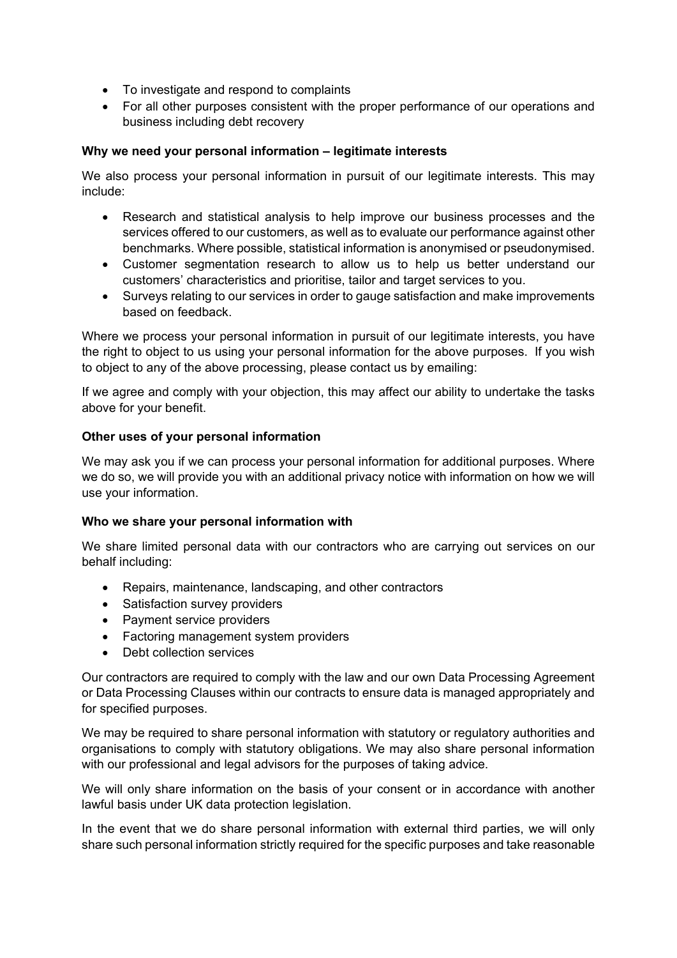- To investigate and respond to complaints
- For all other purposes consistent with the proper performance of our operations and business including debt recovery

## **Why we need your personal information – legitimate interests**

We also process your personal information in pursuit of our legitimate interests. This may include:

- Research and statistical analysis to help improve our business processes and the services offered to our customers, as well as to evaluate our performance against other benchmarks. Where possible, statistical information is anonymised or pseudonymised.
- Customer segmentation research to allow us to help us better understand our customers' characteristics and prioritise, tailor and target services to you.
- Surveys relating to our services in order to gauge satisfaction and make improvements based on feedback.

Where we process your personal information in pursuit of our legitimate interests, you have the right to object to us using your personal information for the above purposes. If you wish to object to any of the above processing, please contact us by emailing:

If we agree and comply with your objection, this may affect our ability to undertake the tasks above for your benefit.

## **Other uses of your personal information**

We may ask you if we can process your personal information for additional purposes. Where we do so, we will provide you with an additional privacy notice with information on how we will use your information.

#### **Who we share your personal information with**

We share limited personal data with our contractors who are carrying out services on our behalf including:

- Repairs, maintenance, landscaping, and other contractors
- Satisfaction survey providers
- Payment service providers
- Factoring management system providers
- Debt collection services

Our contractors are required to comply with the law and our own Data Processing Agreement or Data Processing Clauses within our contracts to ensure data is managed appropriately and for specified purposes.

We may be required to share personal information with statutory or regulatory authorities and organisations to comply with statutory obligations. We may also share personal information with our professional and legal advisors for the purposes of taking advice.

We will only share information on the basis of your consent or in accordance with another lawful basis under UK data protection legislation.

In the event that we do share personal information with external third parties, we will only share such personal information strictly required for the specific purposes and take reasonable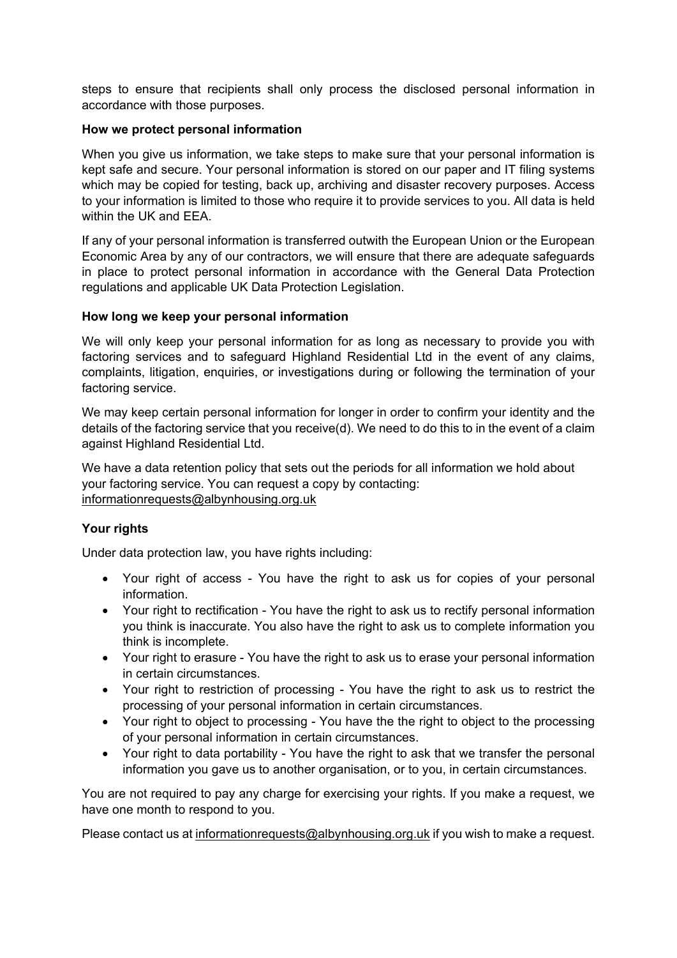steps to ensure that recipients shall only process the disclosed personal information in accordance with those purposes.

### **How we protect personal information**

When you give us information, we take steps to make sure that your personal information is kept safe and secure. Your personal information is stored on our paper and IT filing systems which may be copied for testing, back up, archiving and disaster recovery purposes. Access to your information is limited to those who require it to provide services to you. All data is held within the UK and EEA.

If any of your personal information is transferred outwith the European Union or the European Economic Area by any of our contractors, we will ensure that there are adequate safeguards in place to protect personal information in accordance with the General Data Protection regulations and applicable UK Data Protection Legislation.

### **How long we keep your personal information**

We will only keep your personal information for as long as necessary to provide you with factoring services and to safeguard Highland Residential Ltd in the event of any claims, complaints, litigation, enquiries, or investigations during or following the termination of your factoring service.

We may keep certain personal information for longer in order to confirm your identity and the details of the factoring service that you receive(d). We need to do this to in the event of a claim against Highland Residential Ltd.

We have a data retention policy that sets out the periods for all information we hold about your factoring service. You can request a copy by contacting: [informationrequests@albynhousing.org.uk](mailto:informationrequests@albynhousing.org.uk)

## **Your rights**

Under data protection law, you have rights including:

- Your right of access You have the right to ask us for copies of your personal information.
- Your right to rectification You have the right to ask us to rectify personal information you think is inaccurate. You also have the right to ask us to complete information you think is incomplete.
- Your right to erasure You have the right to ask us to erase your personal information in certain circumstances.
- Your right to restriction of processing You have the right to ask us to restrict the processing of your personal information in certain circumstances.
- Your right to object to processing You have the the right to object to the processing of your personal information in certain circumstances.
- Your right to data portability You have the right to ask that we transfer the personal information you gave us to another organisation, or to you, in certain circumstances.

You are not required to pay any charge for exercising your rights. If you make a request, we have one month to respond to you.

Please contact us at [informationrequests@albynhousing.org.uk](mailto:informationrequests@albynhousing.org.uk) if you wish to make a request.